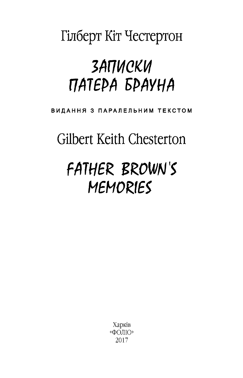Гілберт Кіт Честертон

## **ЗАПИСКИ** ПАТЕРА БРАУНА

ВИДАННЯ З ПАРАЛЕЛЬНИМ ТЕКСТОМ

Gilbert Keith Chesterton

## FATHER BROWN'S MEMORIES

Харків «ФОЛЮ» 2017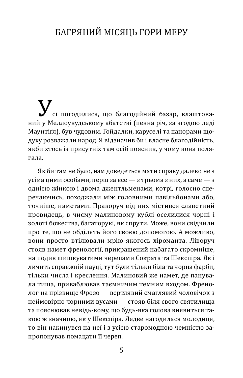## Багряний місяць гори Меру

Усі погодилися, що благодійний базар, влаштова-ний у Меллоувудському абатстві (певна річ, за згодою леді Маунтіґл), був чудовим. Гойдалки, каруселі та панорами щодуху розважали народ. Я відзначив би і власне благодійність, якби хтось із присутніх там осіб пояснив, у чому вона полягала.

Як би там не було, нам доведеться мати справу далеко не з усіма цими особами, перш за все — з трьома з них, а саме — з однією жінкою і двома джентльменами, котрі, голосно сперечаючись, походжали між головними павільйонами або, точніше, наметами. Праворуч від них містився славетний провидець, в чиєму малиновому кублі оселилися чорні і золоті божества, багаторукі, як спрути. Може, вони свідчили про те, що не обділять його своєю допомогою. А можливо, вони просто втілювали мрію якогось хіроманта. Ліворуч стояв намет френології, прикрашений набагато скромніше, на подив шишкуватими черепами Сократа та Шекспіра. Як і личить справжній науці, тут були тільки біла та чорна фарби, тільки числа і креслення. Малиновий же намет, де панувала тиша, приваблював таємничим темним входом. Френолог на прізвище Фрозо — вертлявий смаглявий чоловічок з неймовірно чорними вусами — стояв біля свого святилища та пояснював невідь-кому, що будь-яка голова виявиться такою ж значною, як у Шекспіра. Ледве нагодилася молодиця, то він накинувся на неї і з усією старомодною чемністю запропонував помацати її череп.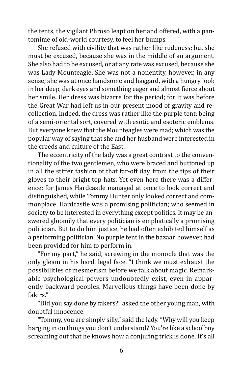the tents, the vigilant Phroso leapt on her and offered, with a pantomime of old-world courtesy, to feel her bumps.

She refused with civility that was rather like rudeness; but she must be excused, because she was in the middle of an argument. She also had to be excused, or at any rate was excused, because she was Lady Mounteagle. She was not a nonentity, however, in any sense; she was at once handsome and haggard, with a hungry look in her deep, dark eyes and something eager and almost fierce about her smile. Her dress was bizarre for the period; for it was before the Great War had left us in our present mood of gravity and recollection. Indeed, the dress was rather like the purple tent; being of a semi-oriental sort, covered with exotic and esoteric emblems. But everyone knew that the Mounteagles were mad; which was the popular way of saying that she and her husband were interested in the creeds and culture of the East.

The eccentricity of the lady was a great contrast to the conventionality of the two gentlemen, who were braced and buttoned up in all the stiffer fashion of that far-off day, from the tips of their gloves to their bright top hats. Yet even here there was a difference; for James Hardcastle managed at once to look correct and distinguished, while Tommy Hunter only looked correct and commonplace. Hardcastle was a promising politician; who seemed in society to be interested in everything except politics. It may be answered gloomily that every politician is emphatically a promising politician. But to do him justice, he had often exhibited himself as a performing politician. No purple tent in the bazaar, however, had been provided for him to perform in.

"For my part," he said, screwing in the monocle that was the only gleam in his hard, legal face, "I think we must exhaust the possibilities of mesmerism before we talk about magic. Remarkable psychological powers undoubtedly exist, even in apparently backward peoples. Marvellous things have been done by fakirs."

"Did you say done by fakers?" asked the other young man, with doubtful innocence.

"Tommy, you are simply silly," said the lady. "Why will you keep barging in on things you don't understand? You're like a schoolboy screaming out that he knows how a conjuring trick is done. It's all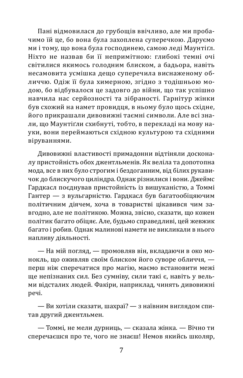Пані відмовилася до грубощів ввічливо, але ми пробачимо їй це, бо вона була захоплена суперечкою. Даруємо ми і тому, що вона була господинею, самою леді Маунтіґл. Ніхто не назвав би її непримітною: глибокі темні очі світилися якимось голодним блиском, а бадьора, навіть несамовита усмішка дещо суперечила виснаженому обличчю. Одіж її була химерною, згідно з тодішньою модою, бо відбувалося це задовго до війни, що так успішно навчила нас серйозності та зібраності. Гарнітур жінки був схожий на намет провидця, в ньому було щось східне, його прикрашали дивовижні таємні символи. Але всі знали, що Маунтіґли схибнуті, тобто, в перекладі на мову науки, вони переймаються східною культурою та східними віруваннями.

Дивовижні властивості примадонни відтіняли досконалу пристойність обох джентльменів. Як веліла та допотопна мода, все в них було строгим і бездоганним, від білих рукавичок до блискучого циліндра. Однак різнилися і вони. Джеймс Гардкасл поєднував пристойність із вишуканістю, а Томмі Гантер — з вульгарністю. Гардкасл був багатообіцяючим політичним діячем, хоча в товаристві цікавився чим завгодно, але не політикою. Можна, звісно, сказати, що кожен політик багато обіцяє. Але, будьмо справедливі, цей жевжик багато і робив. Однак малинові намети не викликали в нього напливу діяльності.

— На мій погляд, — промовляв він, вкладаючи в око монокль, що оживляв своїм блиском його суворе обличчя, перш ніж сперечатися про магію, маємо встановити межі ще непізнаних сил. Без сумніву, сили такі є, навіть у вельми відсталих людей. Факіри, наприклад, чинять дивовижні речі.

— Ви хотіли сказати, шахраї? — з наївним виглядом спитав другий джентльмен.

— Томмі, не мели дурниць, — сказала жінка. — Вічно ти сперечаєшся про те, чого не знаєш! Немов якийсь школяр,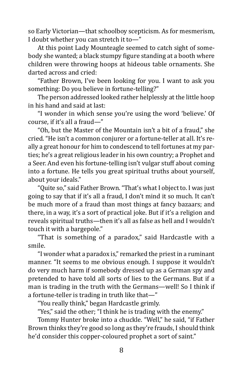so Early Victorian—that schoolboy scepticism. As for mesmerism, I doubt whether you can stretch it to—"

At this point Lady Mounteagle seemed to catch sight of somebody she wanted; a black stumpy figure standing at a booth where children were throwing hoops at hideous table ornaments. She darted across and cried:

"Father Brown, I've been looking for you. I want to ask you something: Do you believe in fortune-telling?"

The person addressed looked rather helplessly at the little hoop in his hand and said at last:

"I wonder in which sense you're using the word 'believe.' Of course, if it's all a fraud—"

"Oh, but the Master of the Mountain isn't a bit of a fraud," she cried. "He isn't a common conjurer or a fortune-teller at all. It's really a great honour for him to condescend to tell fortunes at my parties; he's a great religious leader in his own country; a Prophet and a Seer. And even his fortune-telling isn't vulgar stuff about coming into a fortune. He tells you great spiritual truths about yourself, about your ideals."

"Quite so," said Father Brown. "That's what I object to. I was just going to say that if it's all a fraud, I don't mind it so much. It can't be much more of a fraud than most things at fancy bazaars; and there, in a way, it's a sort of practical joke. But if it's a religion and reveals spiritual truths—then it's all as false as hell and I wouldn't touch it with a bargepole."

"That is something of a paradox," said Hardcastle with a smile.

"I wonder what a paradox is," remarked the priest in a ruminant manner. "It seems to me obvious enough. I suppose it wouldn't do very much harm if somebody dressed up as a German spy and pretended to have told all sorts of lies to the Germans. But if a man is trading in the truth with the Germans—well! So I think if a fortune-teller is trading in truth like that—"

"You really think," began Hardcastle grimly.

"Yes," said the other; "I think he is trading with the enemy."

Tommy Hunter broke into a chuckle. "Well," he said, "if Father Brown thinks they're good so long as they're frauds, I should think he'd consider this copper-coloured prophet a sort of saint."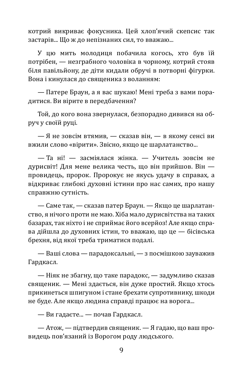котрий викриває фокусника. Цей хлоп'ячий скепсис так застарів... Що ж до непізнаних сил, то вважаю...

У цю мить молодиця побачила когось, хто був їй потрібен, — незграбного чоловіка в чорному, котрий стояв біля павільйону, де діти кидали обручі в потворні фігурки. Вона і кинулася до священика з воланням:

— Патере Браун, а я вас шукаю! Мені треба з вами порадитися. Ви вірите в передбачення?

Той, до кого вона звернулася, безпорадно дивився на обруч у своїй руці.

— Я не зовсім втямив, — сказав він, — в якому сенсі ви вжили слово «вірити». Звісно, якщо це шарлатанство...

— Та ні! — засміялася жінка. — Учитель зовсім не дурисвіт! Для мене велика честь, що він прийшов. Він провидець, пророк. Пророкує не якусь удачу в справах, а відкриває глибокі духовні істини про нас самих, про нашу справжню сутність.

— Саме так, — сказав патер Браун. — Якщо це шарлатанство, я нічого проти не маю. Хіба мало дурисвітства на таких базарах, так ніхто і не сприймає його всерйоз! Але якщо справа дійшла до духовних істин, то вважаю, що це — бісівська брехня, від якої треба триматися подалі.

— Ваші слова — парадоксальні, — з посмішкою зауважив Гардкасл.

— Ніяк не збагну, що таке парадокс, — задумливо сказав священик. — Мені здається, він дуже простий. Якщо хтось прикинеться шпигуном і стане брехати супротивнику, шкоди не буде. Але якщо людина справді працює на ворога...

— Ви гадаєте... — почав Гардкасл.

— Атож, — підтвердив священик. — Я гадаю, що ваш провидець пов'язаний із Ворогом роду людського.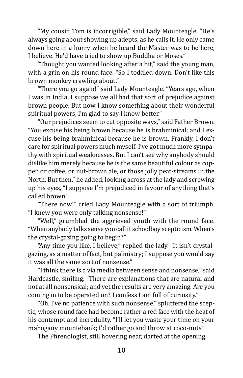"My cousin Tom is incorrigible," said Lady Mounteagle. "He's always going about showing up adepts, as he calls it. He only came down here in a hurry when he heard the Master was to be here, I believe. He'd have tried to show up Buddha or Moses."

"Thought you wanted looking after a bit," said the young man, with a grin on his round face. "So I toddled down. Don't like this brown monkey crawling about."

"There you go again!" said Lady Mounteagle. "Years ago, when I was in India, I suppose we all had that sort of prejudice against brown people. But now I know something about their wonderful spiritual powers, I'm glad to say I know better."

"Our prejudices seem to cut opposite ways," said Father Brown. "You excuse his being brown because he is brahminical; and I excuse his being brahminical because he is brown. Frankly, I don't care for spiritual powers much myself. I've got much more sympathy with spiritual weaknesses. But I can't see why anybody should dislike him merely because he is the same beautiful colour as copper, or coffee, or nut-brown ale, or those jolly peat-streams in the North. But then," he added, looking across at the lady and screwing up his eyes, "I suppose I'm prejudiced in favour of anything that's called brown."

"There now!" cried Lady Mounteagle with a sort of triumph. "I knew you were only talking nonsense!"

"Well," grumbled the aggrieved youth with the round face. "When anybody talks sense you call it schoolboy scepticism. When's the crystal-gazing going to begin?"

"Any time you like, I believe," replied the lady. "It isn't crystalgazing, as a matter of fact, but palmistry; I suppose you would say it was all the same sort of nonsense."

"I think there is a via media between sense and nonsense," said Hardcastle, smiling. "There are explanations that are natural and not at all nonsensical; and yet the results are very amazing. Are you coming in to be operated on? I confess I am full of curiosity."

"Oh, I've no patience with such nonsense," spluttered the sceptic, whose round face had become rather a red face with the heat of his contempt and incredulity. "I'll let you waste your time on your mahogany mountebank; I'd rather go and throw at coco-nuts."

The Phrenologist, still hovering near, darted at the opening.